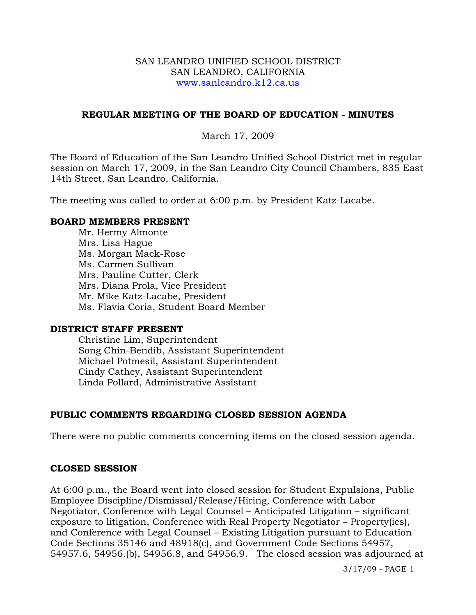#### SAN LEANDRO UNIFIED SCHOOL DISTRICT SAN LEANDRO, CALIFORNIA www.sanleandro.k12.ca.us

#### **REGULAR MEETING OF THE BOARD OF EDUCATION - MINUTES**

#### March 17, 2009

The Board of Education of the San Leandro Unified School District met in regular session on March 17, 2009, in the San Leandro City Council Chambers, 835 East 14th Street, San Leandro, California.

The meeting was called to order at 6:00 p.m. by President Katz-Lacabe.

#### **BOARD MEMBERS PRESENT**

Mr. Hermy Almonte Mrs. Lisa Hague Ms. Morgan Mack-Rose Ms. Carmen Sullivan Mrs. Pauline Cutter, Clerk Mrs. Diana Prola, Vice President Mr. Mike Katz-Lacabe, President Ms. Flavia Coria, Student Board Member

#### **DISTRICT STAFF PRESENT**

Christine Lim, Superintendent Song Chin-Bendib, Assistant Superintendent Michael Potmesil, Assistant Superintendent Cindy Cathey, Assistant Superintendent Linda Pollard, Administrative Assistant

## **PUBLIC COMMENTS REGARDING CLOSED SESSION AGENDA**

There were no public comments concerning items on the closed session agenda.

#### **CLOSED SESSION**

At 6:00 p.m., the Board went into closed session for Student Expulsions, Public Employee Discipline/Dismissal/Release/Hiring, Conference with Labor Negotiator, Conference with Legal Counsel – Anticipated Litigation – significant exposure to litigation, Conference with Real Property Negotiator – Property(ies), and Conference with Legal Counsel – Existing Litigation pursuant to Education Code Sections 35146 and 48918(c), and Government Code Sections 54957, 54957.6, 54956.(b), 54956.8, and 54956.9. The closed session was adjourned at

3/17/09 - PAGE 1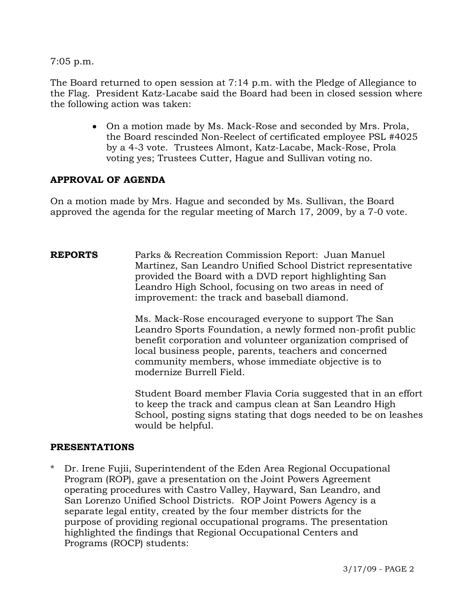7:05 p.m.

The Board returned to open session at 7:14 p.m. with the Pledge of Allegiance to the Flag. President Katz-Lacabe said the Board had been in closed session where the following action was taken:

> • On a motion made by Ms. Mack-Rose and seconded by Mrs. Prola, the Board rescinded Non-Reelect of certificated employee PSL #4025 by a 4-3 vote. Trustees Almont, Katz-Lacabe, Mack-Rose, Prola voting yes; Trustees Cutter, Hague and Sullivan voting no.

# **APPROVAL OF AGENDA**

On a motion made by Mrs. Hague and seconded by Ms. Sullivan, the Board approved the agenda for the regular meeting of March 17, 2009, by a 7-0 vote.

**REPORTS** Parks & Recreation Commission Report: Juan Manuel Martinez, San Leandro Unified School District representative provided the Board with a DVD report highlighting San Leandro High School, focusing on two areas in need of improvement: the track and baseball diamond.

> Ms. Mack-Rose encouraged everyone to support The San Leandro Sports Foundation, a newly formed non-profit public benefit corporation and volunteer organization comprised of local business people, parents, teachers and concerned community members, whose immediate objective is to modernize Burrell Field.

Student Board member Flavia Coria suggested that in an effort to keep the track and campus clean at San Leandro High School, posting signs stating that dogs needed to be on leashes would be helpful.

#### **PRESENTATIONS**

\* Dr. Irene Fujii, Superintendent of the Eden Area Regional Occupational Program (ROP), gave a presentation on the Joint Powers Agreement operating procedures with Castro Valley, Hayward, San Leandro, and San Lorenzo Unified School Districts. ROP Joint Powers Agency is a separate legal entity, created by the four member districts for the purpose of providing regional occupational programs. The presentation highlighted the findings that Regional Occupational Centers and Programs (ROCP) students: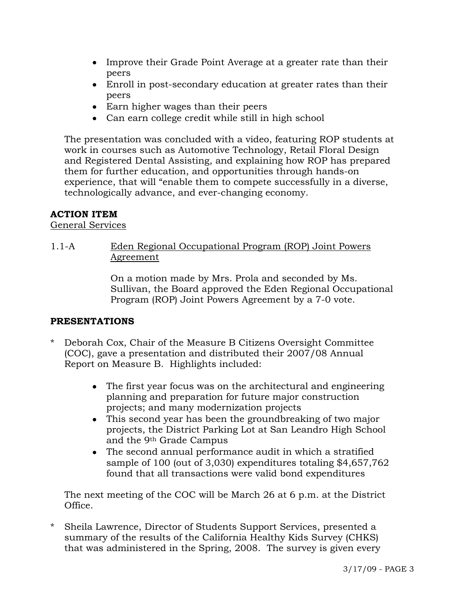- Improve their Grade Point Average at a greater rate than their peers
- Enroll in post-secondary education at greater rates than their peers
- Earn higher wages than their peers
- Can earn college credit while still in high school

 The presentation was concluded with a video, featuring ROP students at work in courses such as Automotive Technology, Retail Floral Design and Registered Dental Assisting, and explaining how ROP has prepared them for further education, and opportunities through hands-on experience, that will "enable them to compete successfully in a diverse, technologically advance, and ever-changing economy.

# **ACTION ITEM**

# General Services

# 1.1-A Eden Regional Occupational Program (ROP) Joint Powers Agreement

On a motion made by Mrs. Prola and seconded by Ms. Sullivan, the Board approved the Eden Regional Occupational Program (ROP) Joint Powers Agreement by a 7-0 vote.

# **PRESENTATIONS**

- \* Deborah Cox, Chair of the Measure B Citizens Oversight Committee (COC), gave a presentation and distributed their 2007/08 Annual Report on Measure B. Highlights included:
	- The first year focus was on the architectural and engineering planning and preparation for future major construction projects; and many modernization projects
	- This second year has been the groundbreaking of two major projects, the District Parking Lot at San Leandro High School and the 9th Grade Campus
	- The second annual performance audit in which a stratified sample of 100 (out of 3,030) expenditures totaling \$4,657,762 found that all transactions were valid bond expenditures

 The next meeting of the COC will be March 26 at 6 p.m. at the District Office.

\* Sheila Lawrence, Director of Students Support Services, presented a summary of the results of the California Healthy Kids Survey (CHKS) that was administered in the Spring, 2008. The survey is given every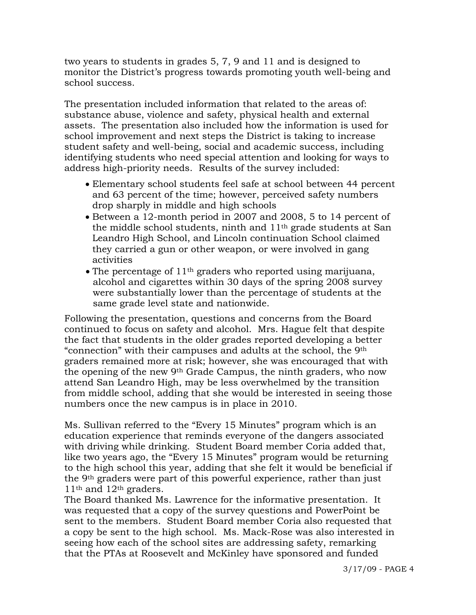two years to students in grades 5, 7, 9 and 11 and is designed to monitor the District's progress towards promoting youth well-being and school success.

The presentation included information that related to the areas of: substance abuse, violence and safety, physical health and external assets. The presentation also included how the information is used for school improvement and next steps the District is taking to increase student safety and well-being, social and academic success, including identifying students who need special attention and looking for ways to address high-priority needs. Results of the survey included:

- Elementary school students feel safe at school between 44 percent and 63 percent of the time; however, perceived safety numbers drop sharply in middle and high schools
- Between a 12-month period in 2007 and 2008, 5 to 14 percent of the middle school students, ninth and 11<sup>th</sup> grade students at San Leandro High School, and Lincoln continuation School claimed they carried a gun or other weapon, or were involved in gang activities
- The percentage of  $11<sup>th</sup>$  graders who reported using marijuana, alcohol and cigarettes within 30 days of the spring 2008 survey were substantially lower than the percentage of students at the same grade level state and nationwide.

Following the presentation, questions and concerns from the Board continued to focus on safety and alcohol. Mrs. Hague felt that despite the fact that students in the older grades reported developing a better "connection" with their campuses and adults at the school, the 9th graders remained more at risk; however, she was encouraged that with the opening of the new 9th Grade Campus, the ninth graders, who now attend San Leandro High, may be less overwhelmed by the transition from middle school, adding that she would be interested in seeing those numbers once the new campus is in place in 2010.

Ms. Sullivan referred to the "Every 15 Minutes" program which is an education experience that reminds everyone of the dangers associated with driving while drinking. Student Board member Coria added that, like two years ago, the "Every 15 Minutes" program would be returning to the high school this year, adding that she felt it would be beneficial if the 9th graders were part of this powerful experience, rather than just 11th and 12th graders.

 The Board thanked Ms. Lawrence for the informative presentation. It was requested that a copy of the survey questions and PowerPoint be sent to the members. Student Board member Coria also requested that a copy be sent to the high school. Ms. Mack-Rose was also interested in seeing how each of the school sites are addressing safety, remarking that the PTAs at Roosevelt and McKinley have sponsored and funded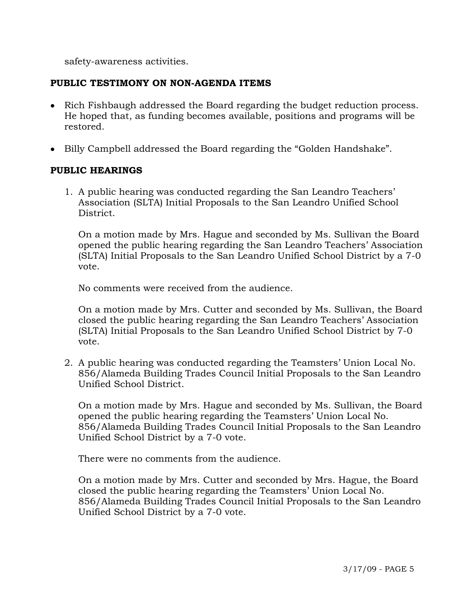safety-awareness activities.

## **PUBLIC TESTIMONY ON NON-AGENDA ITEMS**

- Rich Fishbaugh addressed the Board regarding the budget reduction process. He hoped that, as funding becomes available, positions and programs will be restored.
- Billy Campbell addressed the Board regarding the "Golden Handshake".

#### **PUBLIC HEARINGS**

1. A public hearing was conducted regarding the San Leandro Teachers' Association (SLTA) Initial Proposals to the San Leandro Unified School District.

On a motion made by Mrs. Hague and seconded by Ms. Sullivan the Board opened the public hearing regarding the San Leandro Teachers' Association (SLTA) Initial Proposals to the San Leandro Unified School District by a 7-0 vote.

No comments were received from the audience.

On a motion made by Mrs. Cutter and seconded by Ms. Sullivan, the Board closed the public hearing regarding the San Leandro Teachers' Association (SLTA) Initial Proposals to the San Leandro Unified School District by 7-0 vote.

2. A public hearing was conducted regarding the Teamsters' Union Local No. 856/Alameda Building Trades Council Initial Proposals to the San Leandro Unified School District.

On a motion made by Mrs. Hague and seconded by Ms. Sullivan, the Board opened the public hearing regarding the Teamsters' Union Local No. 856/Alameda Building Trades Council Initial Proposals to the San Leandro Unified School District by a 7-0 vote.

There were no comments from the audience.

On a motion made by Mrs. Cutter and seconded by Mrs. Hague, the Board closed the public hearing regarding the Teamsters' Union Local No. 856/Alameda Building Trades Council Initial Proposals to the San Leandro Unified School District by a 7-0 vote.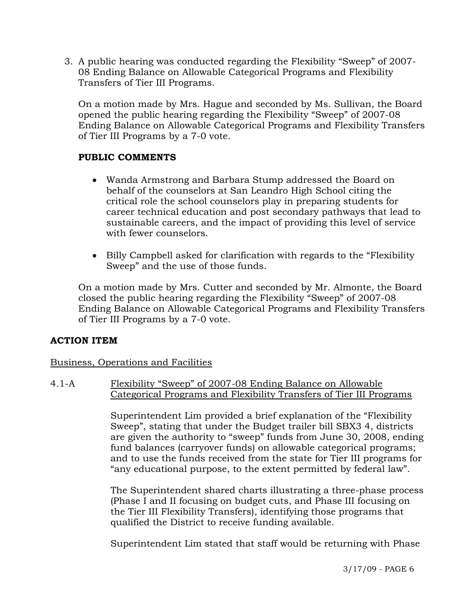3. A public hearing was conducted regarding the Flexibility "Sweep" of 2007- 08 Ending Balance on Allowable Categorical Programs and Flexibility Transfers of Tier III Programs.

On a motion made by Mrs. Hague and seconded by Ms. Sullivan, the Board opened the public hearing regarding the Flexibility "Sweep" of 2007-08 Ending Balance on Allowable Categorical Programs and Flexibility Transfers of Tier III Programs by a 7-0 vote.

# **PUBLIC COMMENTS**

- Wanda Armstrong and Barbara Stump addressed the Board on behalf of the counselors at San Leandro High School citing the critical role the school counselors play in preparing students for career technical education and post secondary pathways that lead to sustainable careers, and the impact of providing this level of service with fewer counselors.
- Billy Campbell asked for clarification with regards to the "Flexibility Sweep" and the use of those funds.

On a motion made by Mrs. Cutter and seconded by Mr. Almonte, the Board closed the public hearing regarding the Flexibility "Sweep" of 2007-08 Ending Balance on Allowable Categorical Programs and Flexibility Transfers of Tier III Programs by a 7-0 vote.

## **ACTION ITEM**

## Business, Operations and Facilities

## 4.1-A Flexibility "Sweep" of 2007-08 Ending Balance on Allowable Categorical Programs and Flexibility Transfers of Tier III Programs

Superintendent Lim provided a brief explanation of the "Flexibility Sweep", stating that under the Budget trailer bill SBX3 4, districts are given the authority to "sweep" funds from June 30, 2008, ending fund balances (carryover funds) on allowable categorical programs; and to use the funds received from the state for Tier III programs for "any educational purpose, to the extent permitted by federal law".

The Superintendent shared charts illustrating a three-phase process (Phase I and II focusing on budget cuts, and Phase III focusing on the Tier III Flexibility Transfers), identifying those programs that qualified the District to receive funding available.

Superintendent Lim stated that staff would be returning with Phase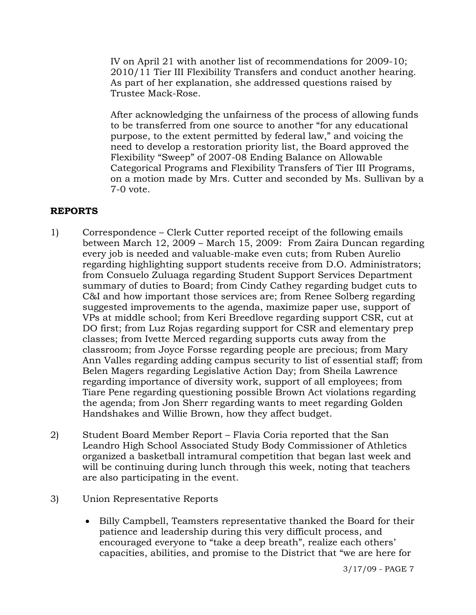IV on April 21 with another list of recommendations for 2009-10; 2010/11 Tier III Flexibility Transfers and conduct another hearing. As part of her explanation, she addressed questions raised by Trustee Mack-Rose.

After acknowledging the unfairness of the process of allowing funds to be transferred from one source to another "for any educational purpose, to the extent permitted by federal law," and voicing the need to develop a restoration priority list, the Board approved the Flexibility "Sweep" of 2007-08 Ending Balance on Allowable Categorical Programs and Flexibility Transfers of Tier III Programs, on a motion made by Mrs. Cutter and seconded by Ms. Sullivan by a 7-0 vote.

## **REPORTS**

- 1) Correspondence Clerk Cutter reported receipt of the following emails between March 12, 2009 – March 15, 2009: From Zaira Duncan regarding every job is needed and valuable-make even cuts; from Ruben Aurelio regarding highlighting support students receive from D.O. Administrators; from Consuelo Zuluaga regarding Student Support Services Department summary of duties to Board; from Cindy Cathey regarding budget cuts to C&I and how important those services are; from Renee Solberg regarding suggested improvements to the agenda, maximize paper use, support of VPs at middle school; from Keri Breedlove regarding support CSR, cut at DO first; from Luz Rojas regarding support for CSR and elementary prep classes; from Ivette Merced regarding supports cuts away from the classroom; from Joyce Forsse regarding people are precious; from Mary Ann Valles regarding adding campus security to list of essential staff; from Belen Magers regarding Legislative Action Day; from Sheila Lawrence regarding importance of diversity work, support of all employees; from Tiare Pene regarding questioning possible Brown Act violations regarding the agenda; from Jon Sherr regarding wants to meet regarding Golden Handshakes and Willie Brown, how they affect budget.
- 2) Student Board Member Report Flavia Coria reported that the San Leandro High School Associated Study Body Commissioner of Athletics organized a basketball intramural competition that began last week and will be continuing during lunch through this week, noting that teachers are also participating in the event.
- 3) Union Representative Reports
	- Billy Campbell, Teamsters representative thanked the Board for their patience and leadership during this very difficult process, and encouraged everyone to "take a deep breath", realize each others' capacities, abilities, and promise to the District that "we are here for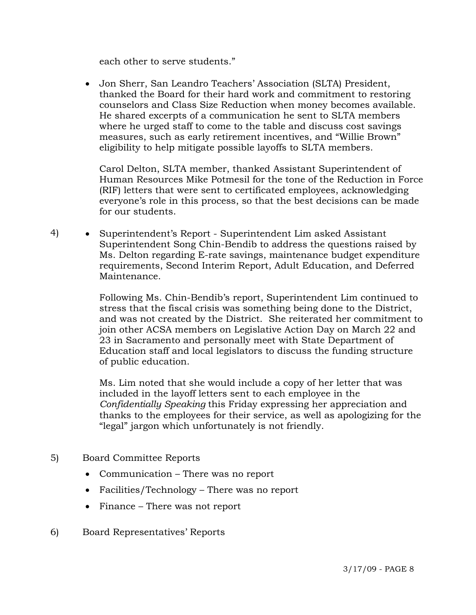each other to serve students."

• Jon Sherr, San Leandro Teachers' Association (SLTA) President, thanked the Board for their hard work and commitment to restoring counselors and Class Size Reduction when money becomes available. He shared excerpts of a communication he sent to SLTA members where he urged staff to come to the table and discuss cost savings measures, such as early retirement incentives, and "Willie Brown" eligibility to help mitigate possible layoffs to SLTA members.

 Carol Delton, SLTA member, thanked Assistant Superintendent of Human Resources Mike Potmesil for the tone of the Reduction in Force (RIF) letters that were sent to certificated employees, acknowledging everyone's role in this process, so that the best decisions can be made for our students.

4) • Superintendent's Report - Superintendent Lim asked Assistant Superintendent Song Chin-Bendib to address the questions raised by Ms. Delton regarding E-rate savings, maintenance budget expenditure requirements, Second Interim Report, Adult Education, and Deferred Maintenance.

> Following Ms. Chin-Bendib's report, Superintendent Lim continued to stress that the fiscal crisis was something being done to the District, and was not created by the District. She reiterated her commitment to join other ACSA members on Legislative Action Day on March 22 and 23 in Sacramento and personally meet with State Department of Education staff and local legislators to discuss the funding structure of public education.

> Ms. Lim noted that she would include a copy of her letter that was included in the layoff letters sent to each employee in the *Confidentially Speaking* this Friday expressing her appreciation and thanks to the employees for their service, as well as apologizing for the "legal" jargon which unfortunately is not friendly.

- 5) Board Committee Reports
	- Communication There was no report
	- Facilities/Technology There was no report
	- Finance There was not report
- 6) Board Representatives' Reports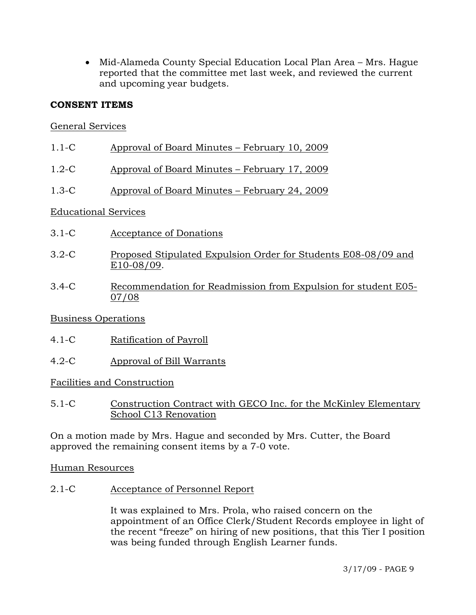• Mid-Alameda County Special Education Local Plan Area – Mrs. Hague reported that the committee met last week, and reviewed the current and upcoming year budgets.

# **CONSENT ITEMS**

# General Services

- 1.1-C Approval of Board Minutes February 10, 2009
- 1.2-C Approval of Board Minutes February 17, 2009
- 1.3-C Approval of Board Minutes February 24, 2009

## Educational Services

- 3.1-C Acceptance of Donations
- 3.2-C Proposed Stipulated Expulsion Order for Students E08-08/09 and E10-08/09.
- 3.4-C Recommendation for Readmission from Expulsion for student E05- 07/08

## Business Operations

- 4.1-C Ratification of Payroll
- 4.2-C Approval of Bill Warrants

## Facilities and Construction

5.1-C Construction Contract with GECO Inc. for the McKinley Elementary School C13 Renovation

On a motion made by Mrs. Hague and seconded by Mrs. Cutter, the Board approved the remaining consent items by a 7-0 vote.

Human Resources

2.1-C Acceptance of Personnel Report

It was explained to Mrs. Prola, who raised concern on the appointment of an Office Clerk/Student Records employee in light of the recent "freeze" on hiring of new positions, that this Tier I position was being funded through English Learner funds.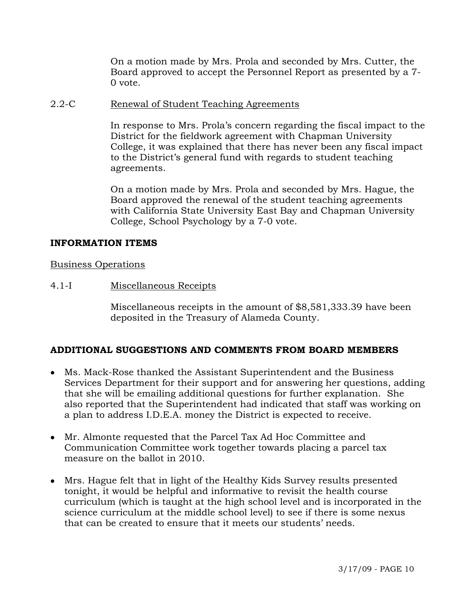On a motion made by Mrs. Prola and seconded by Mrs. Cutter, the Board approved to accept the Personnel Report as presented by a 7- 0 vote.

#### 2.2-C Renewal of Student Teaching Agreements

In response to Mrs. Prola's concern regarding the fiscal impact to the District for the fieldwork agreement with Chapman University College, it was explained that there has never been any fiscal impact to the District's general fund with regards to student teaching agreements.

On a motion made by Mrs. Prola and seconded by Mrs. Hague, the Board approved the renewal of the student teaching agreements with California State University East Bay and Chapman University College, School Psychology by a 7-0 vote.

#### **INFORMATION ITEMS**

#### Business Operations

## 4.1-I Miscellaneous Receipts

Miscellaneous receipts in the amount of \$8,581,333.39 have been deposited in the Treasury of Alameda County.

## **ADDITIONAL SUGGESTIONS AND COMMENTS FROM BOARD MEMBERS**

- Ms. Mack-Rose thanked the Assistant Superintendent and the Business Services Department for their support and for answering her questions, adding that she will be emailing additional questions for further explanation. She also reported that the Superintendent had indicated that staff was working on a plan to address I.D.E.A. money the District is expected to receive.
- Mr. Almonte requested that the Parcel Tax Ad Hoc Committee and Communication Committee work together towards placing a parcel tax measure on the ballot in 2010.
- Mrs. Hague felt that in light of the Healthy Kids Survey results presented tonight, it would be helpful and informative to revisit the health course curriculum (which is taught at the high school level and is incorporated in the science curriculum at the middle school level) to see if there is some nexus that can be created to ensure that it meets our students' needs.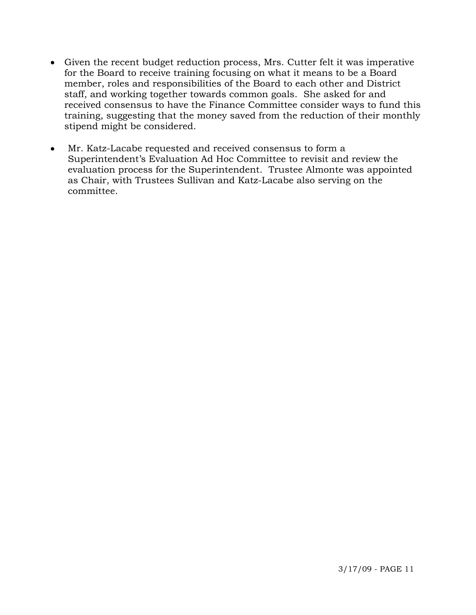- Given the recent budget reduction process, Mrs. Cutter felt it was imperative for the Board to receive training focusing on what it means to be a Board member, roles and responsibilities of the Board to each other and District staff, and working together towards common goals. She asked for and received consensus to have the Finance Committee consider ways to fund this training, suggesting that the money saved from the reduction of their monthly stipend might be considered.
- Mr. Katz-Lacabe requested and received consensus to form a Superintendent's Evaluation Ad Hoc Committee to revisit and review the evaluation process for the Superintendent. Trustee Almonte was appointed as Chair, with Trustees Sullivan and Katz-Lacabe also serving on the committee.